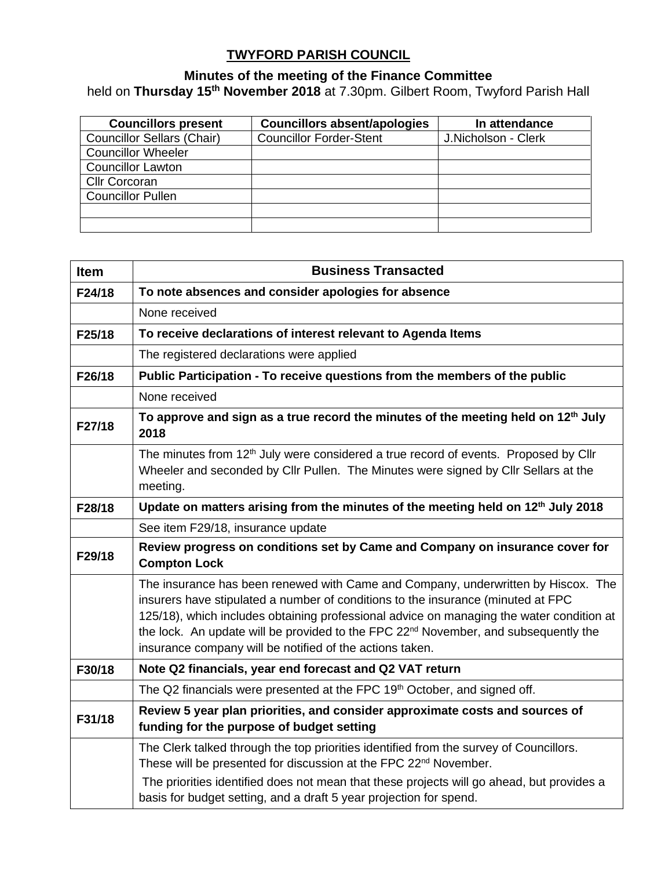## **TWYFORD PARISH COUNCIL**

## **Minutes of the meeting of the Finance Committee**

held on **Thursday 15th November 2018** at 7.30pm. Gilbert Room, Twyford Parish Hall

| <b>Councillors present</b>        | <b>Councillors absent/apologies</b> | In attendance       |
|-----------------------------------|-------------------------------------|---------------------|
| <b>Councillor Sellars (Chair)</b> | <b>Councillor Forder-Stent</b>      | J.Nicholson - Clerk |
| <b>Councillor Wheeler</b>         |                                     |                     |
| <b>Councillor Lawton</b>          |                                     |                     |
| <b>Cllr Corcoran</b>              |                                     |                     |
| <b>Councillor Pullen</b>          |                                     |                     |
|                                   |                                     |                     |
|                                   |                                     |                     |

| <b>Item</b> | <b>Business Transacted</b>                                                                                                                                                                                                                                                                                                                                                                                                       |
|-------------|----------------------------------------------------------------------------------------------------------------------------------------------------------------------------------------------------------------------------------------------------------------------------------------------------------------------------------------------------------------------------------------------------------------------------------|
| F24/18      | To note absences and consider apologies for absence                                                                                                                                                                                                                                                                                                                                                                              |
|             | None received                                                                                                                                                                                                                                                                                                                                                                                                                    |
| F25/18      | To receive declarations of interest relevant to Agenda Items                                                                                                                                                                                                                                                                                                                                                                     |
|             | The registered declarations were applied                                                                                                                                                                                                                                                                                                                                                                                         |
| F26/18      | Public Participation - To receive questions from the members of the public                                                                                                                                                                                                                                                                                                                                                       |
|             | None received                                                                                                                                                                                                                                                                                                                                                                                                                    |
| F27/18      | To approve and sign as a true record the minutes of the meeting held on 12 <sup>th</sup> July<br>2018                                                                                                                                                                                                                                                                                                                            |
|             | The minutes from 12 <sup>th</sup> July were considered a true record of events. Proposed by Cllr<br>Wheeler and seconded by Cllr Pullen. The Minutes were signed by Cllr Sellars at the<br>meeting.                                                                                                                                                                                                                              |
| F28/18      | Update on matters arising from the minutes of the meeting held on 12 <sup>th</sup> July 2018                                                                                                                                                                                                                                                                                                                                     |
|             | See item F29/18, insurance update                                                                                                                                                                                                                                                                                                                                                                                                |
| F29/18      | Review progress on conditions set by Came and Company on insurance cover for<br><b>Compton Lock</b>                                                                                                                                                                                                                                                                                                                              |
|             | The insurance has been renewed with Came and Company, underwritten by Hiscox. The<br>insurers have stipulated a number of conditions to the insurance (minuted at FPC<br>125/18), which includes obtaining professional advice on managing the water condition at<br>the lock. An update will be provided to the FPC 22 <sup>nd</sup> November, and subsequently the<br>insurance company will be notified of the actions taken. |
| F30/18      | Note Q2 financials, year end forecast and Q2 VAT return                                                                                                                                                                                                                                                                                                                                                                          |
|             | The Q2 financials were presented at the FPC 19 <sup>th</sup> October, and signed off.                                                                                                                                                                                                                                                                                                                                            |
| F31/18      | Review 5 year plan priorities, and consider approximate costs and sources of<br>funding for the purpose of budget setting                                                                                                                                                                                                                                                                                                        |
|             | The Clerk talked through the top priorities identified from the survey of Councillors.<br>These will be presented for discussion at the FPC 22 <sup>nd</sup> November.<br>The priorities identified does not mean that these projects will go ahead, but provides a<br>basis for budget setting, and a draft 5 year projection for spend.                                                                                        |